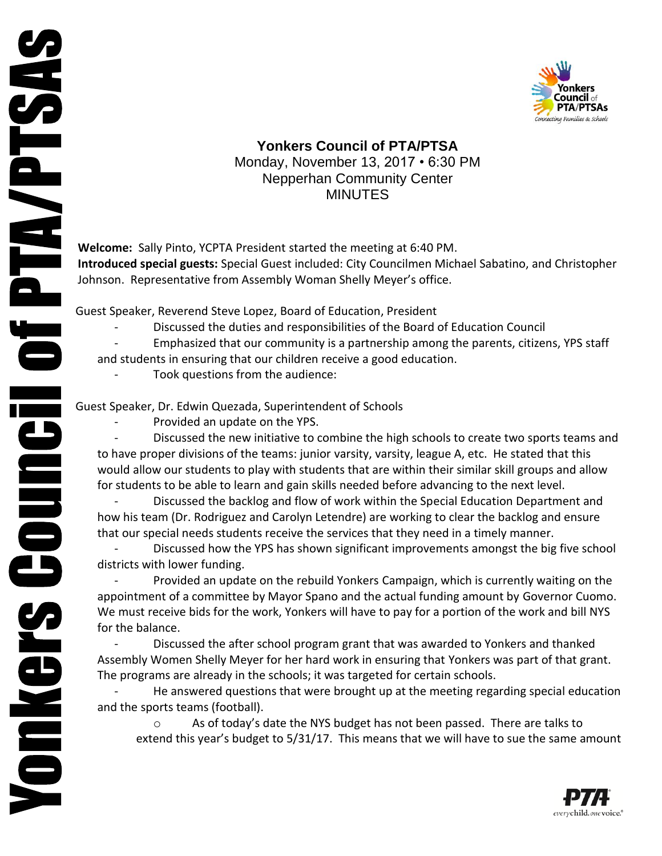

## **Yonkers Council of PTA/PTSA** Monday, November 13, 2017 • 6:30 PM Nepperhan Community Center MINUTES

**Welcome:** Sally Pinto, YCPTA President started the meeting at 6:40 PM. **Introduced special guests:** Special Guest included: City Councilmen Michael Sabatino, and Christopher Johnson. Representative from Assembly Woman Shelly Meyer's office.

Guest Speaker, Reverend Steve Lopez, Board of Education, President

- Discussed the duties and responsibilities of the Board of Education Council
- Emphasized that our community is a partnership among the parents, citizens, YPS staff

and students in ensuring that our children receive a good education.

Took questions from the audience:

Guest Speaker, Dr. Edwin Quezada, Superintendent of Schools

Provided an update on the YPS.

Discussed the new initiative to combine the high schools to create two sports teams and to have proper divisions of the teams: junior varsity, varsity, league A, etc. He stated that this would allow our students to play with students that are within their similar skill groups and allow for students to be able to learn and gain skills needed before advancing to the next level.

- Discussed the backlog and flow of work within the Special Education Department and how his team (Dr. Rodriguez and Carolyn Letendre) are working to clear the backlog and ensure that our special needs students receive the services that they need in a timely manner.

Discussed how the YPS has shown significant improvements amongst the big five school districts with lower funding.

Provided an update on the rebuild Yonkers Campaign, which is currently waiting on the appointment of a committee by Mayor Spano and the actual funding amount by Governor Cuomo. We must receive bids for the work, Yonkers will have to pay for a portion of the work and bill NYS for the balance.

Discussed the after school program grant that was awarded to Yonkers and thanked Assembly Women Shelly Meyer for her hard work in ensuring that Yonkers was part of that grant. The programs are already in the schools; it was targeted for certain schools.

He answered questions that were brought up at the meeting regarding special education and the sports teams (football).

o As of today's date the NYS budget has not been passed. There are talks to extend this year's budget to 5/31/17. This means that we will have to sue the same amount